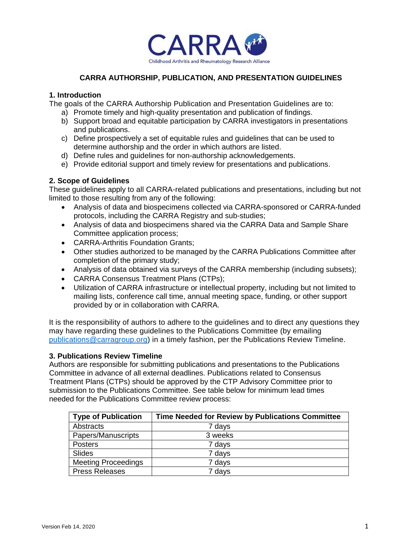

# **CARRA AUTHORSHIP, PUBLICATION, AND PRESENTATION GUIDELINES**

### **1. Introduction**

The goals of the CARRA Authorship Publication and Presentation Guidelines are to:

- a) Promote timely and high-quality presentation and publication of findings.
- b) Support broad and equitable participation by CARRA investigators in presentations and publications.
- c) Define prospectively a set of equitable rules and guidelines that can be used to determine authorship and the order in which authors are listed.
- d) Define rules and guidelines for non-authorship acknowledgements.
- e) Provide editorial support and timely review for presentations and publications.

## **2. Scope of Guidelines**

These guidelines apply to all CARRA-related publications and presentations, including but not limited to those resulting from any of the following:

- Analysis of data and biospecimens collected via CARRA-sponsored or CARRA-funded protocols, including the CARRA Registry and sub-studies;
- Analysis of data and biospecimens shared via the CARRA Data and Sample Share Committee application process;
- CARRA-Arthritis Foundation Grants;
- Other studies authorized to be managed by the CARRA Publications Committee after completion of the primary study;
- Analysis of data obtained via surveys of the CARRA membership (including subsets);
- CARRA Consensus Treatment Plans (CTPs);
- Utilization of CARRA infrastructure or intellectual property, including but not limited to mailing lists, conference call time, annual meeting space, funding, or other support provided by or in collaboration with CARRA.

It is the responsibility of authors to adhere to the guidelines and to direct any questions they may have regarding these guidelines to the Publications Committee (by emailing [publications@carragroup.org\)](mailto:publications@carragroup.org) in a timely fashion, per the Publications Review Timeline.

#### **3. Publications Review Timeline**

Authors are responsible for submitting publications and presentations to the Publications Committee in advance of all external deadlines. Publications related to Consensus Treatment Plans (CTPs) should be approved by the CTP Advisory Committee prior to submission to the Publications Committee. See table below for minimum lead times needed for the Publications Committee review process:

| <b>Type of Publication</b> | Time Needed for Review by Publications Committee |
|----------------------------|--------------------------------------------------|
| Abstracts                  | 7 days                                           |
| Papers/Manuscripts         | 3 weeks                                          |
| <b>Posters</b>             | 7 days                                           |
| Slides                     | 7 days                                           |
| <b>Meeting Proceedings</b> | 7 days                                           |
| <b>Press Releases</b>      | 7 days                                           |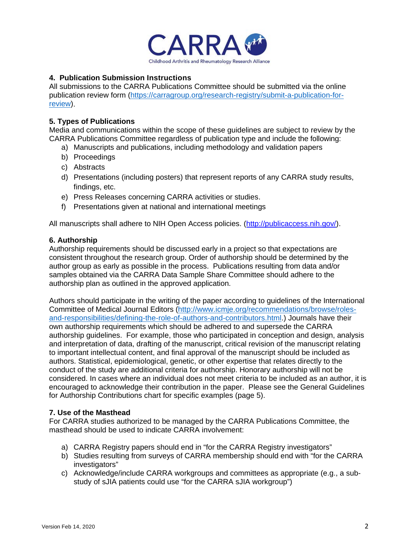

# **4. Publication Submission Instructions**

All submissions to the CARRA Publications Committee should be submitted via the online publication review form [\(https://carragroup.org/research-registry/submit-a-publication-for](https://carragroup.org/research-registry/submit-a-publication-for-review)[review\)](https://carragroup.org/research-registry/submit-a-publication-for-review).

### **5. Types of Publications**

Media and communications within the scope of these guidelines are subject to review by the CARRA Publications Committee regardless of publication type and include the following:

- a) Manuscripts and publications, including methodology and validation papers
- b) Proceedings
- c) Abstracts
- d) Presentations (including posters) that represent reports of any CARRA study results, findings, etc.
- e) Press Releases concerning CARRA activities or studies.
- f) Presentations given at national and international meetings

All manuscripts shall adhere to NIH Open Access policies. [\(http://publicaccess.nih.gov/\)](http://publicaccess.nih.gov/).

### **6. Authorship**

Authorship requirements should be discussed early in a project so that expectations are consistent throughout the research group. Order of authorship should be determined by the author group as early as possible in the process. Publications resulting from data and/or samples obtained via the CARRA Data Sample Share Committee should adhere to the authorship plan as outlined in the approved application.

Authors should participate in the writing of the paper according to guidelines of the International Committee of Medical Journal Editors [\(http://www.icmje.org/recommendations/browse/roles](http://www.icmje.org/recommendations/browse/roles-and-responsibilities/defining-the-role-of-authors-and-contributors.html)[and-responsibilities/defining-the-role-of-authors-and-contributors.html.](http://www.icmje.org/recommendations/browse/roles-and-responsibilities/defining-the-role-of-authors-and-contributors.html)) Journals have their own authorship requirements which should be adhered to and supersede the CARRA authorship guidelines. For example, those who participated in conception and design, analysis and interpretation of data, drafting of the manuscript, critical revision of the manuscript relating to important intellectual content, and final approval of the manuscript should be included as authors. Statistical, epidemiological, genetic, or other expertise that relates directly to the conduct of the study are additional criteria for authorship. Honorary authorship will not be considered. In cases where an individual does not meet criteria to be included as an author, it is encouraged to acknowledge their contribution in the paper. Please see the General Guidelines for Authorship Contributions chart for specific examples (page 5).

#### **7. Use of the Masthead**

For CARRA studies authorized to be managed by the CARRA Publications Committee, the masthead should be used to indicate CARRA involvement:

- a) CARRA Registry papers should end in "for the CARRA Registry investigators"
- b) Studies resulting from surveys of CARRA membership should end with "for the CARRA investigators"
- c) Acknowledge/include CARRA workgroups and committees as appropriate (e.g., a substudy of sJIA patients could use "for the CARRA sJIA workgroup")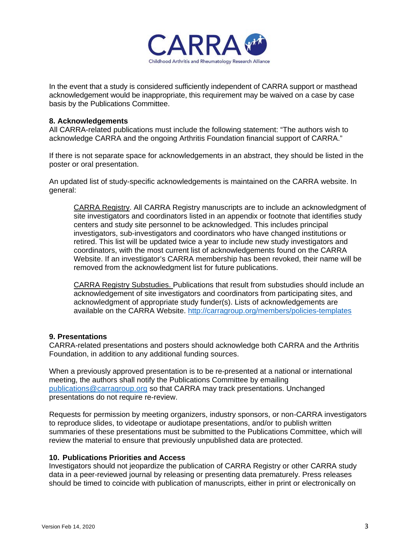

In the event that a study is considered sufficiently independent of CARRA support or masthead acknowledgement would be inappropriate, this requirement may be waived on a case by case basis by the Publications Committee.

### **8. Acknowledgements**

All CARRA-related publications must include the following statement: "The authors wish to acknowledge CARRA and the ongoing Arthritis Foundation financial support of CARRA."

If there is not separate space for acknowledgements in an abstract, they should be listed in the poster or oral presentation.

An updated list of study-specific acknowledgements is maintained on the CARRA website. In general:

CARRA Registry. All CARRA Registry manuscripts are to include an acknowledgment of site investigators and coordinators listed in an appendix or footnote that identifies study centers and study site personnel to be acknowledged. This includes principal investigators, sub-investigators and coordinators who have changed institutions or retired. This list will be updated twice a year to include new study investigators and coordinators, with the most current list of acknowledgements found on the CARRA Website. If an investigator's CARRA membership has been revoked, their name will be removed from the acknowledgment list for future publications.

CARRA Registry Substudies. Publications that result from substudies should include an acknowledgement of site investigators and coordinators from participating sites, and acknowledgment of appropriate study funder(s). Lists of acknowledgements are available on the CARRA Website.<http://carragroup.org/members/policies-templates>

#### **9. Presentations**

CARRA-related presentations and posters should acknowledge both CARRA and the Arthritis Foundation, in addition to any additional funding sources.

When a previously approved presentation is to be re-presented at a national or international meeting, the authors shall notify the Publications Committee by emailing [publications@carragroup.org](mailto:publications@carragroup.org) so that CARRA may track presentations. Unchanged presentations do not require re-review.

Requests for permission by meeting organizers, industry sponsors, or non-CARRA investigators to reproduce slides, to videotape or audiotape presentations, and/or to publish written summaries of these presentations must be submitted to the Publications Committee, which will review the material to ensure that previously unpublished data are protected.

## **10. Publications Priorities and Access**

Investigators should not jeopardize the publication of CARRA Registry or other CARRA study data in a peer-reviewed journal by releasing or presenting data prematurely. Press releases should be timed to coincide with publication of manuscripts, either in print or electronically on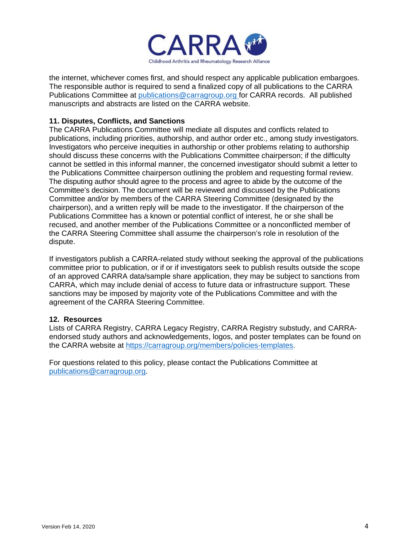

the internet, whichever comes first, and should respect any applicable publication embargoes. The responsible author is required to send a finalized copy of all publications to the CARRA Publications Committee at [publications@carragroup.org](mailto:publications@carragroup.org) for CARRA records. All published manuscripts and abstracts are listed on the CARRA website.

# **11. Disputes, Conflicts, and Sanctions**

The CARRA Publications Committee will mediate all disputes and conflicts related to publications, including priorities, authorship, and author order etc., among study investigators. Investigators who perceive inequities in authorship or other problems relating to authorship should discuss these concerns with the Publications Committee chairperson; if the difficulty cannot be settled in this informal manner, the concerned investigator should submit a letter to the Publications Committee chairperson outlining the problem and requesting formal review. The disputing author should agree to the process and agree to abide by the outcome of the Committee's decision. The document will be reviewed and discussed by the Publications Committee and/or by members of the CARRA Steering Committee (designated by the chairperson), and a written reply will be made to the investigator. If the chairperson of the Publications Committee has a known or potential conflict of interest, he or she shall be recused, and another member of the Publications Committee or a nonconflicted member of the CARRA Steering Committee shall assume the chairperson's role in resolution of the dispute.

If investigators publish a CARRA-related study without seeking the approval of the publications committee prior to publication, or if or if investigators seek to publish results outside the scope of an approved CARRA data/sample share application, they may be subject to sanctions from CARRA, which may include denial of access to future data or infrastructure support. These sanctions may be imposed by majority vote of the Publications Committee and with the agreement of the CARRA Steering Committee.

## **12. Resources**

Lists of CARRA Registry, CARRA Legacy Registry, CARRA Registry substudy, and CARRAendorsed study authors and acknowledgements, logos, and poster templates can be found on the CARRA website at [https://carragroup.org/members/policies-templates.](https://carragroup.org/members/policies-templates)

For questions related to this policy, please contact the Publications Committee at [publications@carragroup.org.](mailto:publications@carragroup.org)